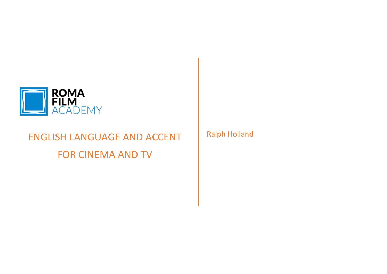

# ENGLISH LANGUAGE AND ACCENT FOR CINEMA AND TV

Ralph Holland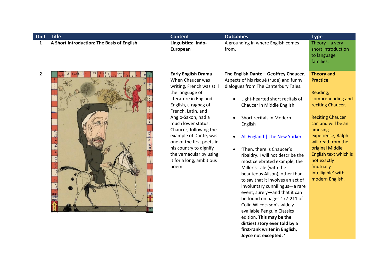| Unit           | <b>Title</b>                               | <b>Content</b>                                                                                                                                                                                                                                                                                                                                                                               | <b>Outcomes</b>                                                                                                                                                                                                                                                                                                                                                                                                                                                                                                                                                                                                                                                                                                                                        | <b>Type</b>                                                                                                                                                                                                                                                                                                        |
|----------------|--------------------------------------------|----------------------------------------------------------------------------------------------------------------------------------------------------------------------------------------------------------------------------------------------------------------------------------------------------------------------------------------------------------------------------------------------|--------------------------------------------------------------------------------------------------------------------------------------------------------------------------------------------------------------------------------------------------------------------------------------------------------------------------------------------------------------------------------------------------------------------------------------------------------------------------------------------------------------------------------------------------------------------------------------------------------------------------------------------------------------------------------------------------------------------------------------------------------|--------------------------------------------------------------------------------------------------------------------------------------------------------------------------------------------------------------------------------------------------------------------------------------------------------------------|
| $\mathbf{1}$   | A Short Introduction: The Basis of English | Linguistics: Indo-<br>European                                                                                                                                                                                                                                                                                                                                                               | A grounding in where English comes<br>from.                                                                                                                                                                                                                                                                                                                                                                                                                                                                                                                                                                                                                                                                                                            | Theory $-$ a very<br>short introduction<br>to language<br>families.                                                                                                                                                                                                                                                |
| $\overline{2}$ | <b>ABARD</b>                               | <b>Early English Drama</b><br>When Chaucer was<br>writing, French was still<br>the language of<br>literature in England.<br>English, a ragbag of<br>French, Latin, and<br>Anglo-Saxon, had a<br>much lower status.<br>Chaucer, following the<br>example of Dante, was<br>one of the first poets in<br>his country to dignify<br>the vernacular by using<br>it for a long, ambitious<br>poem. | The English Dante - Geoffrey Chaucer.<br>Aspects of his risqué (rude) and funny<br>dialogues from The Canterbury Tales.<br>Light-hearted short recitals of<br>Chaucer in Middle English<br>Short recitals in Modern<br>English<br>All England   The New Yorker<br>'Then, there is Chaucer's<br>ribaldry. I will not describe the<br>most celebrated example, the<br>Miller's Tale (with the<br>beauteous Alison), other than<br>to say that it involves an act of<br>involuntary cunnilingus-a rare<br>event, surely-and that it can<br>be found on pages 177-211 of<br>Colin Wilcockson's widely<br>available Penguin Classics<br>edition. This may be the<br>dirtiest story ever told by a<br>first-rank writer in English,<br>Joyce not excepted. ' | <b>Theory and</b><br><b>Practice</b><br>Reading,<br>comprehending and<br>reciting Chaucer.<br><b>Reciting Chaucer</b><br>can and will be an<br>amusing<br>experience; Ralph<br>will read from the<br>original Middle<br>English text which is<br>not exactly<br>'mutually<br>intelligible' with<br>modern English. |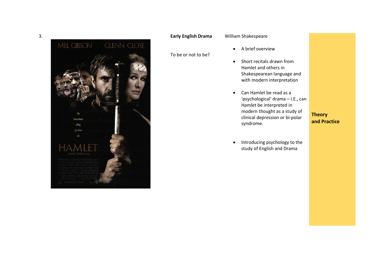

#### William Shakespeare

#### To be or not to be?

- A brief overview
- Short recitals drawn from Hamlet and others in Shakespearean language and with modern interpretation
- Can Hamlet be read as a 'psychological' drama – I.E., can Hamlet be interpreted in modern thought as a study of clinical depression or bi -polar syndrome.

**Theory and Practice**

• Introducing psychology to the study of English and Drama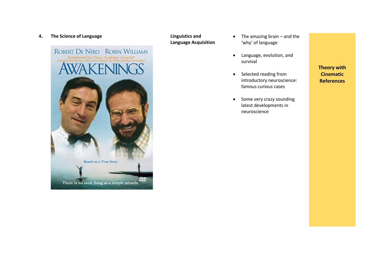#### **4.** The Science of Language **Linguistics** and **Linguistics** and



**Language Acquisition**

- The amazing brain and the 'why' of language
- Language, evolution, and survival
- Selected reading from introductory neuroscience: famous curious cases
- Some very crazy sounding latest developments in neuroscience

**Theory with Cinematic References**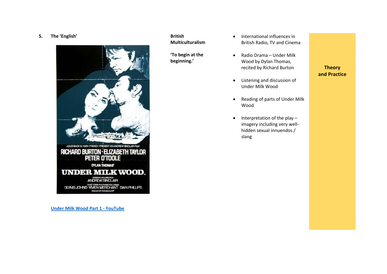#### **5. The 'English'**



**[Under Milk Wood Part 1 -](https://www.youtube.com/watch?v=A5fPyA1C0Ms) YouTube**

#### **British Multiculturalism**

**'To begin at the beginning.'**

- International influences in British Radio, TV and Cinema
- Radio Drama Under Milk Wood by Dylan Thomas, recited by Richard Burton
- Listening and discussion of Under Milk Wood
- Reading of parts of Under Milk Wood
- Interpretation of the play imagery including very wellhidden sexual innuendos / slang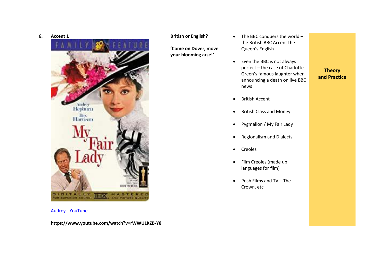



Audrey - [YouTube](https://www.youtube.com/watch?v=rWWULKZB-Y8)

**https://www.youtube.com/watch?v=rWWULKZB-Y8**

#### **British or English?**

**'Come on Dover, move your blooming arse!'**

- The BBC conquers the world the British BBC Accent the Queen's English
- Even the BBC is not always perfect – the case of Charlotte Green's famous laughter when announcing a death on live BBC news

- British Accent
- British Class and Money
- Pygmalion / My Fair Lady
- Regionalism and Dialects
- Creoles
- Film Creoles (made up languages for film)
- Posh Films and TV The Crown, etc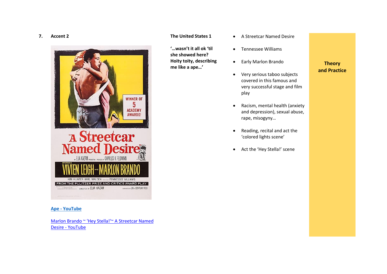#### **7. Accent 2**



#### **Ape - [YouTube](https://www.youtube.com/watch?v=A3lQRx7BnDE)**

[Marlon Brando ~ 'Hey Stella!'~ A Streetcar Named](https://www.youtube.com/watch?v=S1A0p0F_iH8)  Desire - [YouTube](https://www.youtube.com/watch?v=S1A0p0F_iH8)

#### **The United States 1**

**'…wasn't it all ok 'til she showed here? Hoity toity, describing me like a ape…'**

- A Streetcar Named Desire
- Tennessee Williams
- Early Marlon Brando
- Very serious taboo subjects covered in this famous and very successful stage and film play
- Racism, mental health (anxiety and depression), sexual abuse, rape, misogyny…
- Reading, recital and act the 'colored lights scene'
- Act the 'Hey Stella!' scene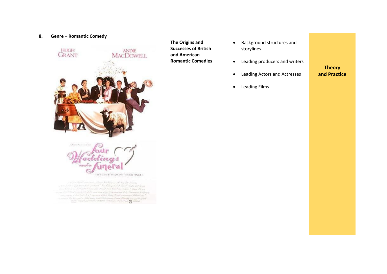#### **8. Genre – Romantic Comedy**



1.40 co. Time Carmings - Mend Too Rowering Colory The Protein and a first transition of an except of the Hillings fail of Towns from that Thomas the Green Corner gain Round Land Room Frisc Referred Street Masses men half Francisco ha Gay an Indian Early B. J. Congressory Ridgel, Federal Damitissin Commoditation Color To fact in the otherwise, there there music forms thanks music stile street **D** some

• Background structures and storylines

• Leading producers and writers

## **Theory**

- Leading Actors and Actresses
- Leading Films

**The Origins and Successes of British and American Romantic Comedies**

**and Practice**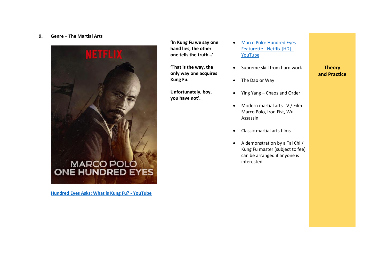#### **9. Genre – The Martial Arts**



**[Hundred Eyes Asks: What is Kung Fu? -](https://www.youtube.com/watch?v=na1bOXYmK6s) YouTube**

**'In Kung Fu we say one hand lies, the other one tells the truth…'**

**'That is the way, the only way one acquires Kung Fu.** 

**Unfortunately, boy, you have not'.**

- [Marco Polo: Hundred Eyes](https://www.youtube.com/watch?v=MMpFnUHgt4g)  Featurette - [Netflix \[HD\] -](https://www.youtube.com/watch?v=MMpFnUHgt4g) [YouTube](https://www.youtube.com/watch?v=MMpFnUHgt4g)
- Supreme skill from hard work
- The Dao or Way
- Ying Yang Chaos and Order
- Modern martial arts TV / Film: Marco Polo, Iron Fist, Wu Assassin
- Classic martial arts films
- A demonstration by a Tai Chi / Kung Fu master (subject to fee) can be arranged if anyone is interested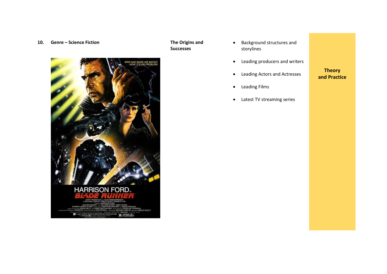#### **10. Genre – Science Fiction The Origins and**



### **Successes**

- Background structures and storylines
- Leading producers and writers
- Leading Actors and Actresses

### • Leading Films

• Latest TV streaming series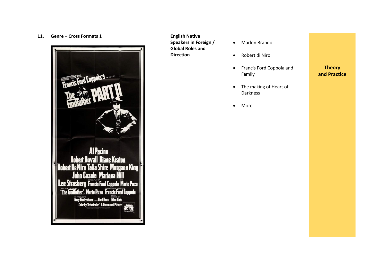#### **11. Genre – Cross Formats 1 English Native**



### **Speakers in Foreign / Global Roles and Direction**

- Marlon Brando
- Robert di Niro
- Francis Ford Coppola and Family
- The making of Heart of Darkness
- More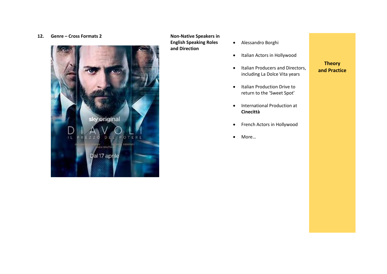#### **12. Genre – Cross Formats 2 Non-Native Speakers in**



**English Speaking Roles and Direction**

- Alessandro Borghi
	- Italian Actors in Hollywood
	- Italian Producers and Directors, including La Dolce Vita years

- Italian Production Drive to return to the 'Sweet Spot'
- International Production at **Cinecittà**
- French Actors in Hollywood
- More…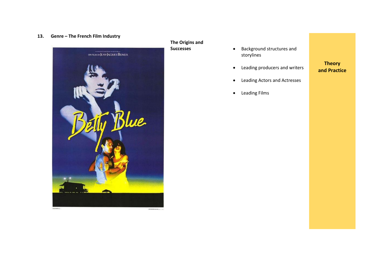#### **13. Genre – The French Film Industry**



# **The Origins and**

- **•** Background structures and storylines
- Leading producers and writers

• Leading Actors and Actresses

### **and Practice**

**Theory**

- 
- Leading Films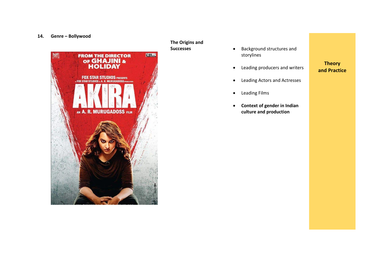#### **14. Genre – Bollywood**



**The Origins and Successes**

- Background structures and storylines
- Leading producers and writers

- Leading Actors and Actresses
- Leading Films
- **Context of gender in Indian culture and production**